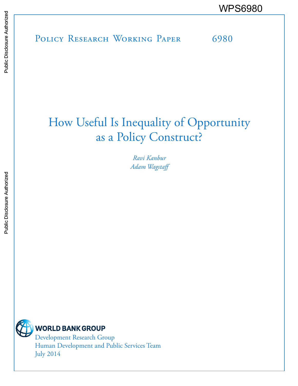POLICY RESEARCH WORKING PAPER 6980 WPS6980<br>
Media<br>
Policy Research Working Paper 6980<br>
Policy Research Working Paper 6980

# How Useful Is Inequality of Opportunity as a Policy Construct?

*Ravi Kanbur Adam Wagstaff*



**WORLD BANK GROUP** 

Development Research Group Human Development and Public Services Team July 2014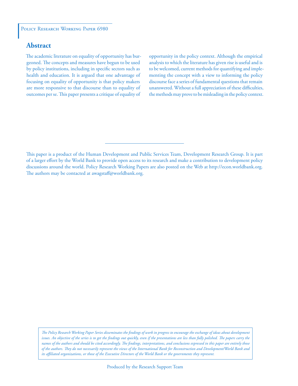#### POLICY RESEARCH WORKING PAPER 6980

### **Abstract**

The academic literature on equality of opportunity has burgeoned. The concepts and measures have begun to be used by policy institutions, including in specific sectors such as health and education. It is argued that one advantage of focusing on equality of opportunity is that policy makers are more responsive to that discourse than to equality of outcomes per se. This paper presents a critique of equality of opportunity in the policy context. Although the empirical analysis to which the literature has given rise is useful and is to be welcomed, current methods for quantifying and implementing the concept with a view to informing the policy discourse face a series of fundamental questions that remain unanswered. Without a full appreciation of these difficulties, the methods may prove to be misleading in the policy context.

This paper is a product of the Human Development and Public Services Team, Development Research Group. It is part of a larger effort by the World Bank to provide open access to its research and make a contribution to development policy discussions around the world. Policy Research Working Papers are also posted on the Web at http://econ.worldbank.org. The authors may be contacted at awagstaff@worldbank.org.

*The Policy Research Working Paper Series disseminates the findings of work in progress to encourage the exchange of ideas about development*  issues. An objective of the series is to get the findings out quickly, even if the presentations are less than fully polished. The papers carry the *names of the authors and should be cited accordingly. The findings, interpretations, and conclusions expressed in this paper are entirely those of the authors. They do not necessarily represent the views of the International Bank for Reconstruction and Development/World Bank and its affiliated organizations, or those of the Executive Directors of the World Bank or the governments they represent.*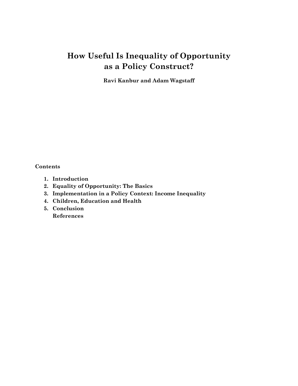## **How Useful Is Inequality of Opportunity as a Policy Construct?**

**Ravi Kanbur and Adam Wagstaff**

#### **Contents**

- **1. Introduction**
- **2. Equality of Opportunity: The Basics**
- **3. Implementation in a Policy Context: Income Inequality**
- **4. Children, Education and Health**
- <span id="page-2-0"></span>**5. Conclusion References**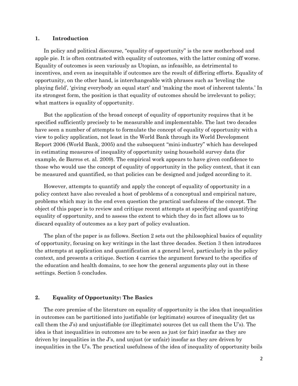#### **1. Introduction**

In policy and political discourse, "equality of opportunity" is the new motherhood and apple pie. It is often contrasted with equality of outcomes, with the latter coming off worse. Equality of outcomes is seen variously as Utopian, as infeasible, as detrimental to incentives, and even as inequitable if outcomes are the result of differing efforts. Equality of opportunity, on the other hand, is interchangeable with phrases such as 'leveling the playing field', 'giving everybody an equal start' and 'making the most of inherent talents.' In its strongest form, the position is that equality of outcomes should be irrelevant to policy; what matters is equality of opportunity.

But the application of the broad concept of equality of opportunity requires that it be specified sufficiently precisely to be measurable and implementable. The last two decades have seen a number of attempts to formulate the concept of equality of opportunity with a view to policy application, not least in the World Bank through its World Development Report 2006 (World Bank, 2005) and the subsequent "mini-industry" which has developed in estimating measures of inequality of opportunity using household survey data (for example, de Barros et. al. 2009). The empirical work appears to have given confidence to those who would use the concept of equality of opportunity in the policy context, that it can be measured and quantified, so that policies can be designed and judged according to it.

However, attempts to quantify and apply the concept of equality of opportunity in a policy context have also revealed a host of problems of a conceptual and empirical nature, problems which may in the end even question the practical usefulness of the concept. The object of this paper is to review and critique recent attempts at specifying and quantifying equality of opportunity, and to assess the extent to which they do in fact allows us to discard equality of outcomes as a key part of policy evaluation.

The plan of the paper is as follows. Section 2 sets out the philosophical basics of equality of opportunity, focusing on key writings in the last three decades. Section 3 then introduces the attempts at application and quantification at a general level, particularly in the policy context, and presents a critique. Section 4 carries the argument forward to the specifics of the education and health domains, to see how the general arguments play out in these settings. Section 5 concludes.

#### **2. Equality of Opportunity: The Basics**

The core premise of the literature on equality of opportunity is the idea that inequalities in outcomes can be partitioned into justifiable (or legitimate) sources of inequality (let us call them the J's) and unjustifiable (or illegitimate) sources (let us call them the U's). The idea is that inequalities in outcomes are to be seen as just (or fair) insofar as they are driven by inequalities in the J's, and unjust (or unfair) insofar as they are driven by inequalities in the U's. The practical usefulness of the idea of inequality of opportunity boils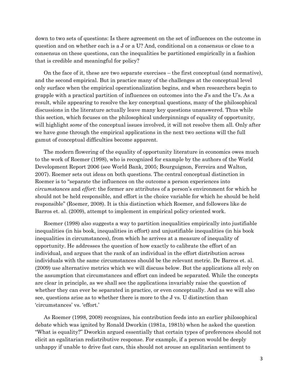down to two sets of questions: Is there agreement on the set of influences on the outcome in question and on whether each is a J or a U? And, conditional on a consensus or close to a consensus on these questions, can the inequalities be partitioned empirically in a fashion that is credible and meaningful for policy?

On the face of it, these are two separate exercises – the first conceptual (and normative), and the second empirical. But in practice many of the challenges at the conceptual level only surface when the empirical operationalization begins, and when researchers begin to grapple with a practical partition of influences on outcomes into the J's and the U's. As a result, while appearing to resolve the key conceptual questions, many of the philosophical discussions in the literature actually leave many key questions unanswered. Thus while this section, which focuses on the philosophical underpinnings of equality of opportunity, will highlight *some* of the conceptual issues involved, it will not resolve them all. Only after we have gone through the empirical applications in the next two sections will the full gamut of conceptual difficulties become apparent.

The modern flowering of the equality of opportunity literature in economics owes much to the work of Roemer (1998), who is recognized for example by the authors of the World Development Report 2006 (see World Bank, 2005; Bourguignon, Ferreira and Walton, 2007). Roemer sets out ideas on both questions. The central conceptual distinction in Roemer is to "separate the influences on the outcome a person experiences into *circumstances* and *effort*: the former are attributes of a person's environment for which he should not be held responsible, and effort is the choice variable for which he should be held responsible" (Roemer, 2008). It is this distinction which Roemer, and followers like de Barros et. al. (2009), attempt to implement in empirical policy oriented work.

Roemer (1998) also suggests a way to partition inequalities empirically into justifiable inequalities (in his book, inequalities in effort) and unjustifiable inequalities (in his book inequalities in circumstances), from which he arrives at a measure of inequality of opportunity. He addresses the question of how exactly to calibrate the effort of an individual, and argues that the rank of an individual in the effort distribution across individuals with the same circumstances should be the relevant metric. De Barros et. al. (2009) use alternative metrics which we will discuss below. But the applications all rely on the assumption that circumstances and effort can indeed be separated. While the concepts are clear in principle, as we shall see the applications invariably raise the question of whether they can ever be separated in practice, or even conceptually. And as we will also see, questions arise as to whether there is more to the J vs. U distinction than 'circumstances' vs. 'effort.'

As Roemer (1998, 2008) recognizes, his contribution feeds into an earlier philosophical debate which was ignited by Ronald Dworkin (1981a, 1981b) when he asked the question "What is equality?" Dworkin argued essentially that certain types of preferences should not elicit an egalitarian redistributive response. For example, if a person would be deeply unhappy if unable to drive fast cars, this should not arouse an egalitarian sentiment to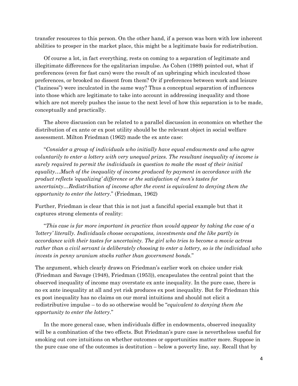transfer resources to this person. On the other hand, if a person was born with low inherent abilities to prosper in the market place, this might be a legitimate basis for redistribution.

Of course a lot, in fact everything, rests on coming to a separation of legitimate and illegitimate differences for the egalitarian impulse. As Cohen (1989) pointed out, what if preferences (even for fast cars) were the result of an upbringing which inculcated those preferences, or brooked no dissent from them? Or if preferences between work and leisure ("laziness") were inculcated in the same way? Thus a conceptual separation of influences into those which are legitimate to take into account in addressing inequality and those which are not merely pushes the issue to the next level of how this separation is to be made, conceptually and practically.

The above discussion can be related to a parallel discussion in economics on whether the distribution of ex ante or ex post utility should be the relevant object in social welfare assessment. Milton Friedman (1962) made the ex ante case:

"*Consider a group of individuals who initially have equal endowments and who agree voluntarily to enter a lottery with very unequal prizes. The resultant inequality of income is surely required to permit the individuals in question to make the most of their initial equality…Much of the inequality of income produced by payment in accordance with the product reflects 'equalizing' difference or the satisfaction of men's tastes for uncertainty…Redistribution of income after the event is equivalent to denying them the opportunity to enter the lottery*." (Friedman, 1962)

Further, Friedman is clear that this is not just a fanciful special example but that it captures strong elements of reality:

"*This case is far more important in practice than would appear by taking the case of a 'lottery' literally. Individuals choose occupations, investments and the like partly in accordance with their tastes for uncertainty. The girl who tries to become a movie actress rather than a civil servant is deliberately choosing to enter a lottery, so is the individual who invests in penny uranium stocks rather than government bonds*."

The argument, which clearly draws on Friedman's earlier work on choice under risk (Friedman and Savage (1948), Friedman (1953)), encapsulates the central point that the observed inequality of income may overstate ex ante inequality. In the pure case, there is no ex ante inequality at all and yet risk produces ex post inequality. But for Friedman this ex post inequality has no claims on our moral intuitions and should not elicit a redistributive impulse – to do so otherwise would be "*equivalent to denying them the opportunity to enter the lottery*."

In the more general case, when individuals differ in endowments, observed inequality will be a combination of the two effects. But Friedman's pure case is nevertheless useful for smoking out core intuitions on whether outcomes or opportunities matter more. Suppose in the pure case one of the outcomes is destitution – below a poverty line, say. Recall that by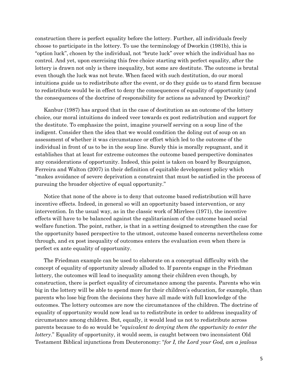construction there is perfect equality before the lottery. Further, all individuals freely choose to participate in the lottery. To use the terminology of Dworkin (1981b), this is "option luck", chosen by the individual, not "brute luck" over which the individual has no control. And yet, upon exercising this free choice starting with perfect equality, after the lottery is drawn not only is there inequality, but some are destitute. The outcome is brutal even though the luck was not brute. When faced with such destitution, do our moral intuitions guide us to redistribute after the event, or do they guide us to stand firm because to redistribute would be in effect to deny the consequences of equality of opportunity (and the consequences of the doctrine of responsibility for actions as advanced by Dworkin)?

Kanbur (1987) has argued that in the case of destitution as an outcome of the lottery choice, our moral intuitions do indeed veer towards ex post redistribution and support for the destitute. To emphasize the point, imagine yourself serving on a soup line of the indigent. Consider then the idea that we would condition the doling out of soup on an assessment of whether it was circumstance or effort which led to the outcome of the individual in front of us to be in the soup line. Surely this is morally repugnant, and it establishes that at least for extreme outcomes the outcome based perspective dominates any considerations of opportunity. Indeed, this point is taken on board by Bourguignon, Ferreira and Walton (2007) in their definition of equitable development policy which "makes avoidance of severe deprivation a constraint that must be satisfied in the process of pursuing the broader objective of equal opportunity."

Notice that none of the above is to deny that outcome based redistribution will have incentive effects. Indeed, in general so will an opportunity based intervention, or any intervention. In the usual way, as in the classic work of Mirrlees (1971), the incentive effects will have to be balanced against the egalitarianism of the outcome based social welfare function. The point, rather, is that in a setting designed to strengthen the case for the opportunity based perspective to the utmost, outcome based concerns nevertheless come through, and ex post inequality of outcomes enters the evaluation even when there is perfect ex ante equality of opportunity.

The Friedman example can be used to elaborate on a conceptual difficulty with the concept of equality of opportunity already alluded to. If parents engage in the Friedman lottery, the outcomes will lead to inequality among their children even though, by construction, there is perfect equality of circumstance among the parents. Parents who win big in the lottery will be able to spend more for their children's education, for example, than parents who lose big from the decisions they have all made with full knowledge of the outcomes. The lottery outcomes are now the circumstances of the children. The doctrine of equality of opportunity would now lead us to redistribute in order to address inequality of circumstance among children. But, equally, it would lead us not to redistribute across parents because to do so would be "*equivalent to denying them the opportunity to enter the lottery*." Equality of opportunity, it would seem, is caught between two inconsistent Old Testament Biblical injunctions from Deuteronomy: "*for I, the Lord your God, am a jealous*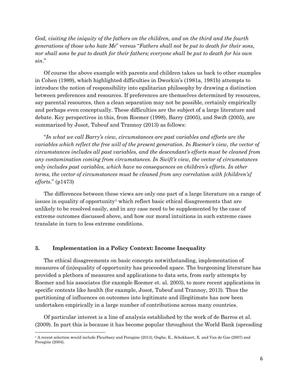*God, visiting the iniquity of the fathers on the children, and on the third and the fourth generations of those who hate Me*" versus "*Fathers shall not be put to death for their sons, nor shall sons be put to death for their fathers; everyone shall be put to death for his own sin*."

Of course the above example with parents and children takes us back to other examples in Cohen (1989), which highlighted difficulties in Dworkin's (1981a, 1981b) attempts to introduce the notion of responsibility into egalitarian philosophy by drawing a distinction between preferences and resources. If preferences are themselves determined by resources, say parental resources, then a clean separation may not be possible, certainly empirically and perhaps even conceptually. These difficulties are the subject of a large literature and debate. Key perspectives in this, from Roemer (1998), Barry (2005), and Swift (2005), are summarized by Jusot, Tubeuf and Trannoy (2013) as follows:

"*In what we call Barry's view, circumstances are past variables and efforts are the variables which reflect the free will of the present generation. In Roemer's view, the vector of circumstances includes all past variables, and the descendant's efforts must be cleaned from any contamination coming from circumstances. In Swift's view, the vector of circumstances only includes past variables, which have no consequences on children's efforts. In other terms, the vector of circumstances must be cleaned from any correlation with [children's] efforts*." (p1473)

The differences between these views are only one part of a large literature on a range of issues in equality of opportunity<sup>[1](#page-2-0)</sup> which reflect basic ethical disagreements that are unlikely to be resolved easily, and in any case need to be supplemented by the case of extreme outcomes discussed above, and how our moral intuitions in such extreme cases translate in turn to less extreme conditions.

#### **3. Implementation in a Policy Context: Income Inequality**

 $\overline{\phantom{a}}$ 

The ethical disagreements on basic concepts notwithstanding, implementation of measures of (in)equality of opportunity has proceeded apace. The burgeoning literature has provided a plethora of measures and applications to data sets, from early attempts by Roemer and his associates (for example Roemer et. al. 2003), to more recent applications in specific contexts like health (for example, Jusot, Tubeuf and Trannoy, 2013). Thus the partitioning of influences on outcomes into legitimate and illegitimate has now been undertaken empirically in a large number of contributions across many countries.

Of particular interest is a line of analysis established by the work of de Barros et al. (2009). In part this is because it has become popular throughout the World Bank (spreading

<sup>1</sup> A recent selection would include Fleurbaey and Peragine (2013), Ooghe, E., Schokkaert, E. and Van de Gae (2007) and Peragine (2004).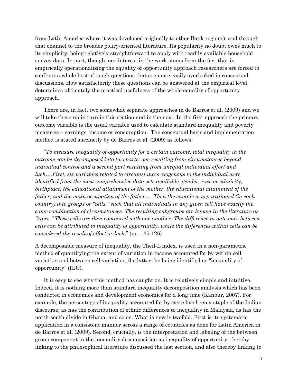from Latin America where it was developed originally to other Bank regions), and through that channel to the broader policy-oriented literature. Its popularity no doubt owes much to its simplicity, being relatively straightforward to apply with readily available household survey data. In part, though, our interest in the work stems from the fact that in empirically operationalizing the equality of opportunity approach researchers are forced to confront a whole host of tough questions that are more easily overlooked in conceptual discussions. How satisfactorily these questions can be answered at the empirical level determines ultimately the practical usefulness of the whole equality of opportunity approach.

There are, in fact, two somewhat separate approaches in de Barros et al. (2009) and we will take these up in turn in this section and in the next. In the first approach the primary outcome variable is the usual variable used to calculate standard inequality and poverty measures – earnings, income or consumption. The conceptual basis and implementation method is stated succinctly by de Barros et al. (2009) as follows:

"*To measure inequality of opportunity for a certain outcome, total inequality in the outcome can be decomposed into two parts: one resulting from circumstances beyond individual control and a second part resulting from unequal individual effort and luck*....First, six variables related to circumstances exogenous to the individual were *identified from the most comprehensive data sets available: gender, race or ethnicity, birthplace, the educational attainment of the mother, the educational attainment of the father, and the main occupation of the father…. Then the sample was partitioned (in each country) into groups or "cells," such that all individuals in any given cell have exactly the same combination of circumstances. The resulting subgroups are known in the literature as "types." These cells are then compared with one another. The difference in outcomes between cells can be attributed to inequality of opportunity, while the differences within cells can be considered the result of effort or luck*." (pp. 125-126)

A decomposable measure of inequality, the Theil-L index, is used in a non-parametric method of quantifying the extent of variation in income accounted for by within cell variation and between cell variation, the latter the being identified as "inequality of opportunity" (IEO).

It is easy to see why this method has caught on. It is relatively simple and intuitive. Indeed, it is nothing more than standard inequality decomposition analysis which has been conducted in economics and development economics for a long time (Kanbur, 2007). For example, the percentage of inequality accounted for by caste has been a staple of the Indian discourse, as has the contribution of ethnic differences to inequality in Malaysia, as has the north-south divide in Ghana, and so on. What is new is twofold. First is its systematic application in a consistent manner across a range of countries as done for Latin America in de Barros et al. (2009). Second, crucially, is the interpretation and labeling of the between group component in the inequality decomposition as inequality of opportunity, thereby linking to the philosophical literature discussed the last section, and also thereby linking to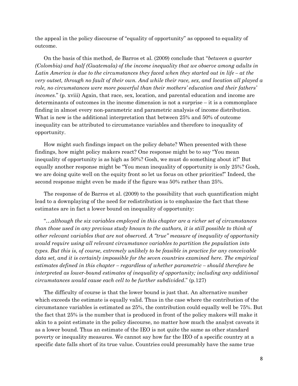the appeal in the policy discourse of "equality of opportunity" as opposed to equality of outcome.

On the basis of this method, de Barros et al. (2009) conclude that "*between a quarter (Colombia) and half (Guatemala) of the income inequality that we observe among adults in*  Latin America is due to the circumstances they faced when they started out in life – at the *very outset, through no fault of their own. And while their race, sex, and location all played a role, no circumstances were more powerful than their mothers' education and their fathers' incomes*." (p. xviii) Again, that race, sex, location, and parental education and income are determinants of outcomes in the income dimension is not a surprise – it is a commonplace finding in almost every non-parametric and parametric analysis of income distribution. What is new is the additional interpretation that between 25% and 50% of outcome inequality can be attributed to circumstance variables and therefore to inequality of opportunity.

How might such findings impact on the policy debate? When presented with these findings, how might policy makers react? One response might be to say "You mean inequality of opportunity is as high as 50%? Gosh, we must do something about it!" But equally another response might be "You mean inequality of opportunity is only 25%? Gosh, we are doing quite well on the equity front so let us focus on other priorities!" Indeed, the second response might even be made if the figure was 50% rather than 25%.

The response of de Barros et al. (2009) to the possibility that such quantification might lead to a downplaying of the need for redistribution is to emphasize the fact that these estimates are in fact a lower bound on inequality of opportunity:

"…*although the six variables employed in this chapter are a richer set of circumstances than those used in any previous study known to the authors, it is still possible to think of other relevant variables that are not observed. A "true" measure of inequality of opportunity would require using all relevant circumstance variables to partition the population into types. But this is, of course, extremely unlikely to be feasible in practice for any conceivable*  data set, and it is certainly impossible for the seven countries examined here. The empirical *estimates defined in this chapter – regardless of whether parametric – should therefore be interpreted as lower-bound estimates of inequality of opportunity; including any additional circumstances would cause each cell to be further subdivided*." (p.127)

The difficulty of course is that the lower bound is just that. An alternative number which exceeds the estimate is equally valid. Thus in the case where the contribution of the circumstance variables is estimated as 25%, the contribution could equally well be 75%. But the fact that 25% is the number that is produced in front of the policy makers will make it akin to a point estimate in the policy discourse, no matter how much the analyst caveats it as a lower bound. Thus an estimate of the IEO is not quite the same as other standard poverty or inequality measures. We cannot say how far the IEO of a specific country at a specific date falls short of its true value. Countries could presumably have the same true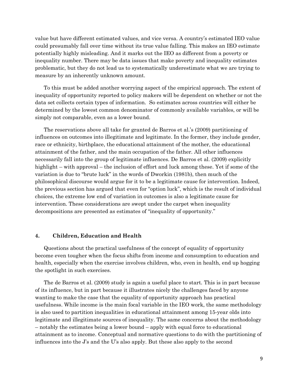value but have different estimated values, and vice versa. A country's estimated IEO value could presumably fall over time without its true value falling. This makes an IEO estimate potentially highly misleading. And it marks out the IEO as different from a poverty or inequality number. There may be data issues that make poverty and inequality estimates problematic, but they do not lead us to systematically underestimate what we are trying to measure by an inherently unknown amount.

To this must be added another worrying aspect of the empirical approach. The extent of inequality of opportunity reported to policy makers will be dependent on whether or not the data set collects certain types of information. So estimates across countries will either be determined by the lowest common denominator of commonly available variables, or will be simply not comparable, even as a lower bound.

The reservations above all take for granted de Barros et al.'s (2009) partitioning of influences on outcomes into illegitimate and legitimate. In the former, they include gender, race or ethnicity, birthplace, the educational attainment of the mother, the educational attainment of the father, and the main occupation of the father. All other influences necessarily fall into the group of legitimate influences. De Barros et al. (2009) explicitly highlight – with approval – the inclusion of effort and luck among these. Yet if some of the variation is due to "brute luck" in the words of Dworkin (1981b), then much of the philosophical discourse would argue for it to be a legitimate cause for intervention. Indeed, the previous section has argued that even for "option luck", which is the result of individual choices, the extreme low end of variation in outcomes is also a legitimate cause for intervention. These considerations are swept under the carpet when inequality decompositions are presented as estimates of "inequality of opportunity."

#### **4. Children, Education and Health**

Questions about the practical usefulness of the concept of equality of opportunity become even tougher when the focus shifts from income and consumption to education and health, especially when the exercise involves children, who, even in health, end up hogging the spotlight in such exercises.

The de Barros et al. (2009) study is again a useful place to start. This is in part because of its influence, but in part because it illustrates nicely the challenges faced by anyone wanting to make the case that the equality of opportunity approach has practical usefulness. While income is the main focal variable in the IEO work, the same methodology is also used to partition inequalities in educational attainment among 15-year olds into legitimate and illegitimate sources of inequality. The same concerns about the methodology – notably the estimates being a lower bound – apply with equal force to educational attainment as to income. Conceptual and normative questions to do with the partitioning of influences into the J's and the U's also apply. But these also apply to the second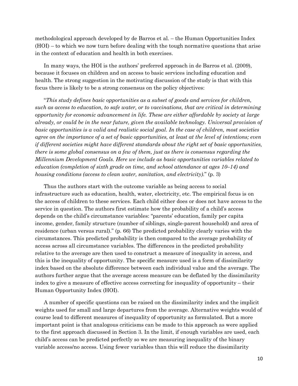methodological approach developed by de Barros et al. – the Human Opportunities Index (HOI) – to which we now turn before dealing with the tough normative questions that arise in the context of education and health in both exercises.

In many ways, the HOI is the authors' preferred approach in de Barros et al. (2009), because it focuses on children and on access to basic services including education and health. The strong suggestion in the motivating discussion of the study is that with this focus there is likely to be a strong consensus on the policy objectives:

"*This study defines basic opportunities as a subset of goods and services for children, such as access to education, to safe water, or to vaccinations, that are critical in determining opportunity for economic advancement in life. These are either affordable by society at large already, or could be in the near future, given the available technology. Universal provision of basic opportunities is a valid and realistic social goal. In the case of children, most societies agree on the importance of a set of basic opportunities, at least at the level of intentions; even if different societies might have different standards about the right set of basic opportunities, there is some global consensus on a few of them, just as there is consensus regarding the Millennium Development Goals. Here we include as basic opportunities variables related to education (completion of sixth grade on time, and school attendance at ages 10–14) and housing conditions (access to clean water, sanitation, and electricity).*" (p. 3)

Thus the authors start with the outcome variable as being access to social infrastructure such as education, health, water, electricity, etc. The empirical focus is on the access of children to these services. Each child either does or does not have access to the service in question. The authors first estimate how the probability of a child's access depends on the child's circumstance variables: "parents' education, family per capita income, gender, family structure (number of siblings, single-parent household) and area of residence (urban versus rural)." (p. 66) The predicted probability clearly varies with the circumstances. This predicted probability is then compared to the average probability of access across all circumstance variables. The differences in the predicted probability relative to the average are then used to construct a measure of inequality in access, and this is the inequality of opportunity. The specific measure used is a form of dissimilarity index based on the absolute difference between each individual value and the average. The authors further argue that the average access measure can be deflated by the dissimilarity index to give a measure of effective access correcting for inequality of opportunity – their Human Opportunity Index (HOI).

A number of specific questions can be raised on the dissimilarity index and the implicit weights used for small and large departures from the average. Alternative weights would of course lead to different measures of inequality of opportunity as formulated. But a more important point is that analogous criticisms can be made to this approach as were applied to the first approach discussed in Section 3. In the limit, if enough variables are used, each child's access can be predicted perfectly so we are measuring inequality of the binary variable access/no access. Using fewer variables than this will reduce the dissimilarity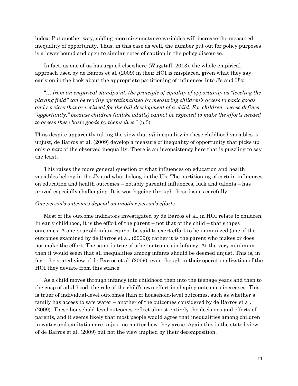index. Put another way, adding more circumstance variables will increase the measured inequality of opportunity. Thus, in this case as well, the number put out for policy purposes is a lower bound and open to similar notes of caution in the policy discourse.

In fact, as one of us has argued elsewhere (Wagstaff, 2013), the whole empirical approach used by de Barros et al. (2009) in their HOI is misplaced, given what they say early on in the book about the appropriate partitioning of influences into J's and U's:

"*… from an empirical standpoint, the principle of equality of opportunity as "leveling the playing field" can be readily operationalized by measuring children's access to basic goods and services that are critical for the full development of a child. For children, access defines "opportunity," because children (unlike adults) cannot be expected to make the efforts needed to access these basic goods by themselves*." (p.3)

Thus despite apparently taking the view that *all* inequality in these childhood variables is unjust, de Barros et al. (2009) develop a measure of inequality of opportunity that picks up only *a part* of the observed inequality. There is an inconsistency here that is puzzling to say the least.

This raises the more general question of what influences on education and health variables belong in the J's and what belong in the U's. The partitioning of certain influences on education and health outcomes – notably parental influences, luck and talents – has proved especially challenging. It is worth going through these issues carefully.

#### *One person's outcomes depend on another person's efforts*

Most of the outcome indicators investigated by de Barros et al. in HOI relate to children. In early childhood, it is the effort of the parent – not that of the child – that shapes outcomes. A one-year old infant cannot be said to exert effort to be immunized (one of the outcomes examined by de Barros et al. (2009)); rather it is the parent who makes or does not make the effort. The same is true of other outcomes in infancy. At the very minimum then it would seem that all inequalities among infants should be deemed unjust. This is, in fact, the stated view of de Barros et al. (2009), even though in their operationalization of the HOI they deviate from this stance.

As a child moves through infancy into childhood then into the teenage years and then to the cusp of adulthood, the role of the child's own effort in shaping outcomes increases. This is truer of individual-level outcomes than of household-level outcomes, such as whether a family has access to safe water – another of the outcomes considered by de Barros et al. (2009). These household-level outcomes reflect almost entirely the decisions and efforts of parents, and it seems likely that most people would agree that inequalities among children in water and sanitation are unjust no matter how they arose. Again this is the stated view of de Barros et al. (2009) but not the view implied by their decomposition.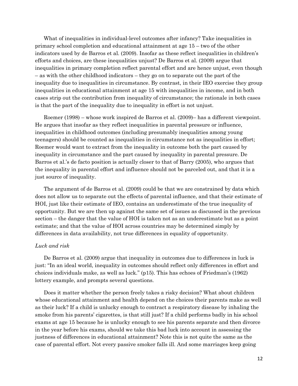What of inequalities in individual-level outcomes after infancy? Take inequalities in primary school completion and educational attainment at age 15 – two of the other indicators used by de Barros et al. (2009). Insofar as these reflect inequalities in children's efforts and choices, are these inequalities unjust? De Barros et al. (2009) argue that inequalities in primary completion reflect parental effort and are hence unjust, even though – as with the other childhood indicators – they go on to separate out the part of the inequality due to inequalities in circumstance. By contrast, in their IEO exercise they group inequalities in educational attainment at age 15 with inequalities in income, and in both cases strip out the contribution from inequality of circumstance; the rationale in both cases is that the part of the inequality due to inequality in effort is not unjust.

Roemer (1998) – whose work inspired de Barros et al. (2009)– has a different viewpoint. He argues that insofar as they reflect inequalities in parental pressure or influence, inequalities in childhood outcomes (including presumably inequalities among young teenagers) should be counted as inequalities in circumstance not as inequalities in effort; Roemer would want to extract from the inequality in outcome both the part caused by inequality in circumstance and the part caused by inequality in parental pressure. De Barros et al.'s de facto position is actually closer to that of Barry (2005), who argues that the inequality in parental effort and influence should not be parceled out, and that it is a just source of inequality.

The argument of de Barros et al. (2009) could be that we are constrained by data which does not allow us to separate out the effects of parental influence, and that their estimate of HOI, just like their estimate of IEO, contains an underestimate of the true inequality of opportunity. But we are then up against the same set of issues as discussed in the previous section – the danger that the value of HOI is taken not as an underestimate but as a point estimate; and that the value of HOI across countries may be determined simply by differences in data availability, not true differences in equality of opportunity.

#### *Luck and risk*

De Barros et al. (2009) argue that inequality in outcomes due to differences in luck is just: "In an ideal world, inequality in outcomes should reflect only differences in effort and choices individuals make, as well as luck." (p15). This has echoes of Friedman's (1962) lottery example, and prompts several questions.

Does it matter whether the person freely takes a risky decision? What about children whose educational attainment and health depend on the choices their parents make as well as their luck? If a child is unlucky enough to contract a respiratory disease by inhaling the smoke from his parents' cigarettes, is that still just? If a child performs badly in his school exams at age 15 because he is unlucky enough to see his parents separate and then divorce in the year before his exams, should we take this bad luck into account in assessing the justness of differences in educational attainment? Note this is not quite the same as the case of parental effort. Not every passive smoker falls ill. And some marriages keep going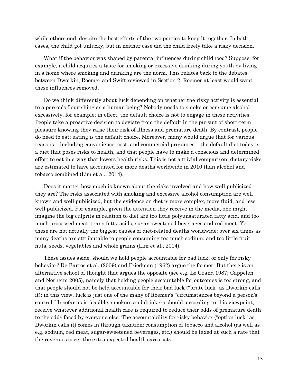while others end, despite the best efforts of the two parties to keep it together. In both cases, the child got unlucky, but in neither case did the child freely take a risky decision.

What if the behavior was shaped by parental influences during childhood? Suppose, for example, a child acquires a taste for smoking or excessive drinking during youth by living in a home where smoking and drinking are the norm. This relates back to the debates between Dworkin, Roemer and Swift reviewed in Section 2. Roemer at least would want these influences removed.

Do we think differently about luck depending on whether the risky activity is essential to a person's flourishing as a human being? Nobody needs to smoke or consume alcohol excessively, for example; in effect, the default choice is not to engage in these activities. People take a proactive decision to deviate from the default in the pursuit of short-term pleasure knowing they raise their risk of illness and premature death. By contrast, people do need to eat; eating is the default choice. Moreover, many would argue that for various reasons – including convenience, cost, and commercial pressures – the default diet today is a diet that poses risks to health, and that people have to make a conscious and determined effort to eat in a way that lowers health risks. This is not a trivial comparison: dietary risks are estimated to have accounted for more deaths worldwide in 2010 than alcohol and tobacco combined (Lim et al., 2014).

Does it matter how much is known about the risks involved and how well publicized they are? The risks associated with smoking and excessive alcohol consumption are well known and well publicized, but the evidence on diet is more complex, more fluid, and less well publicized. For example, given the attention they receive in the media, one might imagine the big culprits in relation to diet are too little polyunsaturated fatty acid, and too much processed meat, trans-fatty acids, sugar-sweetened beverages and red meat. Yet these are not actually the biggest causes of diet-related deaths worldwide: over six times as many deaths are attributable to people consuming too much sodium, and too little fruit, nuts, seeds, vegetables and whole grains (Lim et al., 2014).

These issues aside, should we hold people accountable for bad luck, or only for risky behavior? De Barros et al. (2009) and Friedman (1962) argue the former. But there is an alternative school of thought that argues the opposite (see e.g. [Le Grand 1987;](#page-18-0) [Cappelen](#page-17-0)  [and Norheim 2005\)](#page-17-0), namely that holding people accountable for outcomes is too strong, and that people should not be held accountable for their bad luck ("brute luck" as Dworkin calls it); in this view, luck is just one of the many of Roemer's "circumstances beyond a person's control." Insofar as is feasible, smokers and drinkers should, according to this viewpoint, receive whatever additional health care is required to reduce their odds of premature death to the odds faced by everyone else. The accountability for risky behavior ("option luck" as Dworkin calls it) comes in through taxation: consumption of tobacco and alcohol (as well as e.g. sodium, red meat, sugar-sweetened beverages, etc.) should be taxed at such a rate that the revenues cover the extra expected health care costs.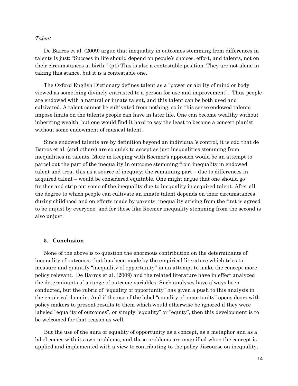#### *Talent*

De Barros et al. (2009) argue that inequality in outcomes stemming from differences in talents is just: "Success in life should depend on people's choices, effort, and talents, not on their circumstances at birth." (p1) This is also a contestable position. They are not alone in taking this stance, but it is a contestable one.

The Oxford English Dictionary defines talent as a "power or ability of mind or body viewed as something divinely entrusted to a person for use and improvement". Thus people are endowed with a natural or innate talent, and this talent can be both used and cultivated. A talent cannot be cultivated from nothing, so in this sense endowed talents impose limits on the talents people can have in later life. One can become wealthy without inheriting wealth, but one would find it hard to say the least to become a concert pianist without some endowment of musical talent.

Since endowed talents are by definition beyond an individual's control, it is odd that de Barros et al. (and others) are so quick to accept as just inequalities stemming from inequalities in talents. More in keeping with Roemer's approach would be an attempt to parcel out the part of the inequality in outcome stemming from inequality in endowed talent and treat this as a source of inequity; the remaining part – due to differences in acquired talent – would be considered equitable. One might argue that one should go further and strip out some of the inequality due to inequality in acquired talent. After all the degree to which people can cultivate an innate talent depends on their circumstances during childhood and on efforts made by parents; inequality arising from the first is agreed to be unjust by everyone, and for those like Roemer inequality stemming from the second is also unjust.

#### **5. Conclusion**

None of the above is to question the enormous contribution on the determinants of inequality of outcomes that has been made by the empirical literature which tries to measure and quantify "inequality of opportunity" in an attempt to make the concept more policy relevant. De Barros et al. (2009) and the related literature have in effect analyzed the determinants of a range of outcome variables. Such analyses have always been conducted, but the rubric of "equality of opportunity" has given a push to this analysis in the empirical domain. And if the use of the label "equality of opportunity" opens doors with policy makers to present results to them which would otherwise be ignored if they were labeled "equality of outcomes", or simply "equality" or "equity", then this development is to be welcomed for that reason as well.

But the use of the aura of equality of opportunity as a concept, as a metaphor and as a label comes with its own problems, and these problems are magnified when the concept is applied and implemented with a view to contributing to the policy discourse on inequality.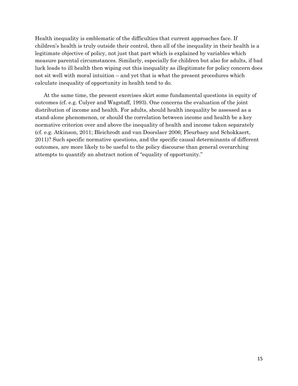Health inequality is emblematic of the difficulties that current approaches face. If children's health is truly outside their control, then all of the inequality in their health is a legitimate objective of policy, not just that part which is explained by variables which measure parental circumstances. Similarly, especially for children but also for adults, if bad luck leads to ill health then wiping out this inequality as illegitimate for policy concern does not sit well with moral intuition – and yet that is what the present procedures which calculate inequality of opportunity in health tend to do.

At the same time, the present exercises skirt some fundamental questions in equity of outcomes (cf. e.g. Culyer and Wagstaff, 1993). One concerns the evaluation of the joint distribution of income and health. For adults, should health inequality be assessed as a stand-alone phenomenon, or should the correlation between income and health be a key normative criterion over and above the inequality of health and income taken separately (cf. e.g. Atkinson, 2011; Bleichrodt and van Doorslaer 2006; Fleurbaey and Schokkaert, 2011)? Such specific normative questions, and the specific causal determinants of different outcomes, are more likely to be useful to the policy discourse than general overarching attempts to quantify an abstract notion of "equality of opportunity."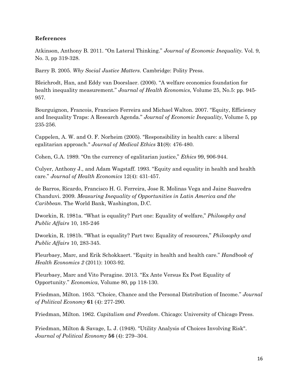#### **References**

Atkinson, Anthony B. 2011. "On Lateral Thinking." *Journal of Economic Inequality.* Vol. 9, No. 3, pp 319-328.

Barry B. 2005. *Why Social Justice Matters*. Cambridge: Polity Press.

Bleichrodt, Han, and Eddy van Doorslaer. (2006). "A welfare economics foundation for health inequality measurement." *Journal of Health Economics*, Volume 25, No.5: pp. 945- 957.

Bourguignon, Francois, Francisco Ferreira and Michael Walton. 2007. "Equity, Efficiency and Inequality Traps: A Research Agenda." *Journal of Economic Inequality*, Volume 5, pp 235-256.

<span id="page-17-0"></span>Cappelen, A. W. and O. F. Norheim (2005). "Responsibility in health care: a liberal egalitarian approach." *Journal of Medical Ethics* **31**(8): 476-480.

Cohen, G.A. 1989. "On the currency of egalitarian justice," *Ethics* 99, 906-944.

Culyer, Anthony J., and Adam Wagstaff. 1993. "Equity and equality in health and health care." *Journal of Health Economics* 12(4): 431-457.

de Barros, Ricardo, Francisco H. G. Ferreira, Jose R. Molinas Vega and Jaine Saavedra Chanduvi. 2009. *Measuring Inequality of Opportunities in Latin America and the Caribbean*. The World Bank, Washington, D.C.

Dworkin, R. 1981a. "What is equality? Part one: Equality of welfare," *Philosophy and Public Affairs* 10, 185-246

Dworkin, R. 1981b. "What is equality? Part two: Equality of resources," *Philosophy and Public Affairs* 10, 283-345.

Fleurbaey, Marc, and Erik Schokkaert. "Equity in health and health care." *Handbook of Health Economics 2* (2011): 1003-92.

Fleurbaey, Marc and Vito Peragine. 2013. "Ex Ante Versus Ex Post Equality of Opportunity." *Economica*, Volume 80, pp 118-130.

Friedman, Milton. 1953. "Choice, Chance and the Personal Distribution of Income." *Journal of Political Economy* **61** (4): 277-290.

Friedman, Milton. 1962. *Capitalism and Freedom*. Chicago: University of Chicago Press.

Friedman, Milton & Savage, L. J. (1948). "Utility Analysis of Choices Involving Risk". *Journal of Political Economy* **56** (4): 279–304.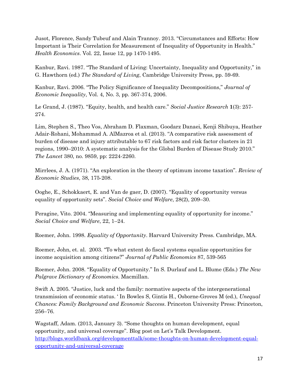Jusot, Florence, Sandy Tubeuf and Alain Trannoy. 2013. "Circumstances and Efforts: How Important is Their Correlation for Measurement of Inequality of Opportunity in Health." *Health Economics*. Vol. 22, Issue 12, pp 1470-1495.

Kanbur, Ravi. 1987. "The Standard of Living: Uncertainty, Inequality and Opportunity," in G. Hawthorn (ed.) *The Standard of Living*, Cambridge University Press, pp. 59-69.

Kanbur, Ravi. 2006. "The Policy Significance of Inequality Decompositions," *Journal of Economic Inequality*, Vol. 4, No. 3, pp. 367-374, 2006.

<span id="page-18-0"></span>Le Grand, J. (1987). "Equity, health, and health care." *Social Justice Research* **1**(3): 257- 274.

Lim, Stephen S., Theo Vos, Abraham D. Flaxman, Goodarz Danaei, Kenji Shibuya, Heather Adair-Rohani, Mohammad A. AlMazroa et al. (2013). "A comparative risk assessment of burden of disease and injury attributable to 67 risk factors and risk factor clusters in 21 regions, 1990–2010: A systematic analysis for the Global Burden of Disease Study 2010." *The Lancet* 380, no. 9859, pp: 2224-2260.

Mirrlees, J. A. (1971). "An exploration in the theory of optimum income taxation". *Review of Economic Studies*, 38, 175-208.

Ooghe, E., Schokkaert, E. and Van de gaer, D. (2007). "Equality of opportunity versus equality of opportunity sets". *Social Choice and Welfare*, 28(2), 209–30.

Peragine, Vito. 2004. "Measuring and implementing equality of opportunity for income." *Social Choice and Welfare*, 22, 1–24.

Roemer, John. 1998. *Equality of Opportunity*. Harvard University Press. Cambridge, MA.

Roemer, John, et. al. 2003. "To what extent do fiscal systems equalize opportunities for income acquisition among citizens?" *Journal of Public Economics* 87, 539-565

Roemer, John. 2008. "Equality of Opportunity." In S. Durlauf and L. Blume (Eds.) *The New Palgrave Dictionary of Economics*. Macmillan.

Swift A. 2005. "Justice, luck and the family: normative aspects of the intergenerational transmission of economic status. ' In Bowles S, Gintis H., Osborne-Groves M (ed.), *Unequal Chances: Family Background and Economic Success*. Princeton University Press: Princeton, 256–76.

Wagstaff, Adam. (2013, January 3). "Some thoughts on human development, equal opportunity, and universal coverage". Blog post on Let's Talk Development. [http://blogs.worldbank.org/developmenttalk/some-thoughts-on-human-development-equal](http://blogs.worldbank.org/developmenttalk/some-thoughts-on-human-development-equal-opportunity-and-universal-coverage)[opportunity-and-universal-coverage](http://blogs.worldbank.org/developmenttalk/some-thoughts-on-human-development-equal-opportunity-and-universal-coverage)